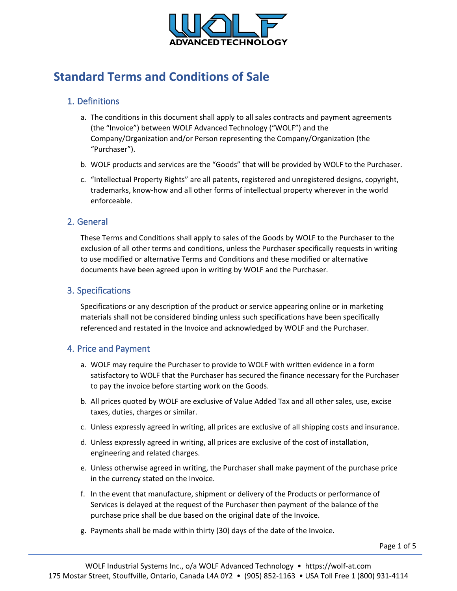

# **Standard Terms and Conditions of Sale**

## 1. Definitions

- a. The conditions in this document shall apply to all sales contracts and payment agreements (the "Invoice") between WOLF Advanced Technology ("WOLF") and the Company/Organization and/or Person representing the Company/Organization (the "Purchaser").
- b. WOLF products and services are the "Goods" that will be provided by WOLF to the Purchaser.
- c. "Intellectual Property Rights" are all patents, registered and unregistered designs, copyright, trademarks, know-how and all other forms of intellectual property wherever in the world enforceable.

## 2. General

These Terms and Conditions shall apply to sales of the Goods by WOLF to the Purchaser to the exclusion of all other terms and conditions, unless the Purchaser specifically requests in writing to use modified or alternative Terms and Conditions and these modified or alternative documents have been agreed upon in writing by WOLF and the Purchaser.

#### 3. Specifications

Specifications or any description of the product or service appearing online or in marketing materials shall not be considered binding unless such specifications have been specifically referenced and restated in the Invoice and acknowledged by WOLF and the Purchaser.

#### 4. Price and Payment

- a. WOLF may require the Purchaser to provide to WOLF with written evidence in a form satisfactory to WOLF that the Purchaser has secured the finance necessary for the Purchaser to pay the invoice before starting work on the Goods.
- b. All prices quoted by WOLF are exclusive of Value Added Tax and all other sales, use, excise taxes, duties, charges or similar.
- c. Unless expressly agreed in writing, all prices are exclusive of all shipping costs and insurance.
- d. Unless expressly agreed in writing, all prices are exclusive of the cost of installation, engineering and related charges.
- e. Unless otherwise agreed in writing, the Purchaser shall make payment of the purchase price in the currency stated on the Invoice.
- f. In the event that manufacture, shipment or delivery of the Products or performance of Services is delayed at the request of the Purchaser then payment of the balance of the purchase price shall be due based on the original date of the Invoice.
- g. Payments shall be made within thirty (30) days of the date of the Invoice.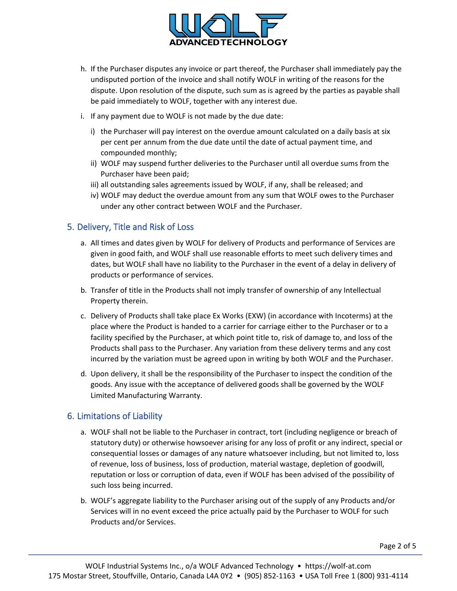

- h. If the Purchaser disputes any invoice or part thereof, the Purchaser shall immediately pay the undisputed portion of the invoice and shall notify WOLF in writing of the reasons for the dispute. Upon resolution of the dispute, such sum as is agreed by the parties as payable shall be paid immediately to WOLF, together with any interest due.
- i. If any payment due to WOLF is not made by the due date:
	- i) the Purchaser will pay interest on the overdue amount calculated on a daily basis at six per cent per annum from the due date until the date of actual payment time, and compounded monthly;
	- ii) WOLF may suspend further deliveries to the Purchaser until all overdue sums from the Purchaser have been paid;
	- iii) all outstanding sales agreements issued by WOLF, if any, shall be released; and
	- iv) WOLF may deduct the overdue amount from any sum that WOLF owes to the Purchaser under any other contract between WOLF and the Purchaser.

## 5. Delivery, Title and Risk of Loss

- a. All times and dates given by WOLF for delivery of Products and performance of Services are given in good faith, and WOLF shall use reasonable efforts to meet such delivery times and dates, but WOLF shall have no liability to the Purchaser in the event of a delay in delivery of products or performance of services.
- b. Transfer of title in the Products shall not imply transfer of ownership of any Intellectual Property therein.
- c. Delivery of Products shall take place Ex Works (EXW) (in accordance with Incoterms) at the place where the Product is handed to a carrier for carriage either to the Purchaser or to a facility specified by the Purchaser, at which point title to, risk of damage to, and loss of the Products shall pass to the Purchaser. Any variation from these delivery terms and any cost incurred by the variation must be agreed upon in writing by both WOLF and the Purchaser.
- d. Upon delivery, it shall be the responsibility of the Purchaser to inspect the condition of the goods. Any issue with the acceptance of delivered goods shall be governed by the WOLF Limited Manufacturing Warranty.

# 6. Limitations of Liability

- a. WOLF shall not be liable to the Purchaser in contract, tort (including negligence or breach of statutory duty) or otherwise howsoever arising for any loss of profit or any indirect, special or consequential losses or damages of any nature whatsoever including, but not limited to, loss of revenue, loss of business, loss of production, material wastage, depletion of goodwill, reputation or loss or corruption of data, even if WOLF has been advised of the possibility of such loss being incurred.
- b. WOLF's aggregate liability to the Purchaser arising out of the supply of any Products and/or Services will in no event exceed the price actually paid by the Purchaser to WOLF for such Products and/or Services.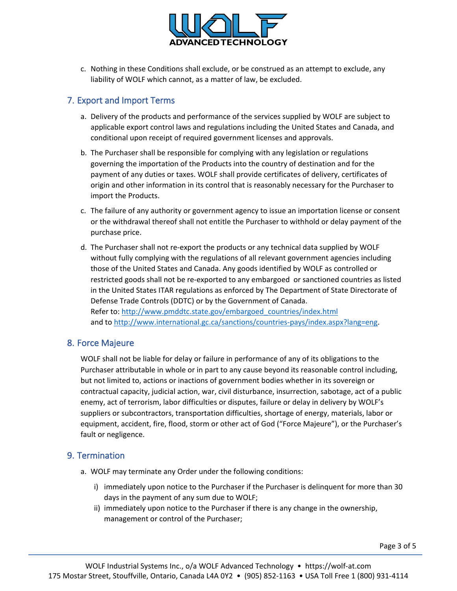

c. Nothing in these Conditions shall exclude, or be construed as an attempt to exclude, any liability of WOLF which cannot, as a matter of law, be excluded.

## 7. Export and Import Terms

- a. Delivery of the products and performance of the services supplied by WOLF are subject to applicable export control laws and regulations including the United States and Canada, and conditional upon receipt of required government licenses and approvals.
- b. The Purchaser shall be responsible for complying with any legislation or regulations governing the importation of the Products into the country of destination and for the payment of any duties or taxes. WOLF shall provide certificates of delivery, certificates of origin and other information in its control that is reasonably necessary for the Purchaser to import the Products.
- c. The failure of any authority or government agency to issue an importation license or consent or the withdrawal thereof shall not entitle the Purchaser to withhold or delay payment of the purchase price.
- d. The Purchaser shall not re-export the products or any technical data supplied by WOLF without fully complying with the regulations of all relevant government agencies including those of the United States and Canada. Any goods identified by WOLF as controlled or restricted goods shall not be re-exported to any embargoed or sanctioned countries as listed in the United States ITAR regulations as enforced by The Department of State Directorate of Defense Trade Controls (DDTC) or by the Government of Canada. Refer to: [http://www.pmddtc.state.gov/embargoed\\_countries/index.html](http://www.pmddtc.state.gov/embargoed_countries/index.html) and to [http://www.international.gc.ca/sanctions/countries-pays/index.aspx?lang=eng.](http://www.international.gc.ca/sanctions/countries-pays/index.aspx?lang=eng)

#### 8. Force Majeure

WOLF shall not be liable for delay or failure in performance of any of its obligations to the Purchaser attributable in whole or in part to any cause beyond its reasonable control including, but not limited to, actions or inactions of government bodies whether in its sovereign or contractual capacity, judicial action, war, civil disturbance, insurrection, sabotage, act of a public enemy, act of terrorism, labor difficulties or disputes, failure or delay in delivery by WOLF's suppliers or subcontractors, transportation difficulties, shortage of energy, materials, labor or equipment, accident, fire, flood, storm or other act of God ("Force Majeure"), or the Purchaser's fault or negligence.

# 9. Termination

- a. WOLF may terminate any Order under the following conditions:
	- i) immediately upon notice to the Purchaser if the Purchaser is delinquent for more than 30 days in the payment of any sum due to WOLF;
	- ii) immediately upon notice to the Purchaser if there is any change in the ownership, management or control of the Purchaser;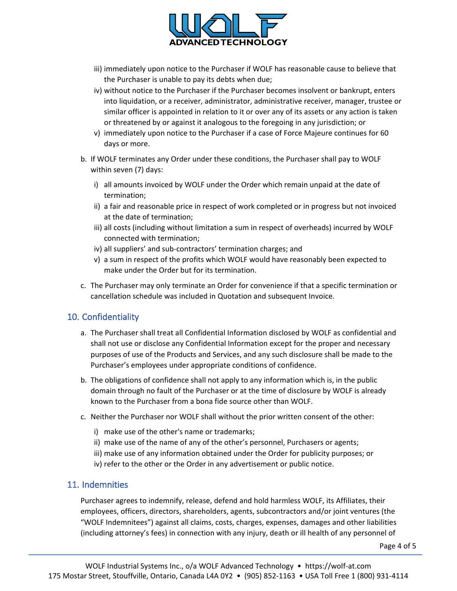

- iii) immediately upon notice to the Purchaser if WOLF has reasonable cause to believe that the Purchaser is unable to pay its debts when due;
- iv) without notice to the Purchaser if the Purchaser becomes insolvent or bankrupt, enters into liquidation, or a receiver, administrator, administrative receiver, manager, trustee or similar officer is appointed in relation to it or over any of its assets or any action is taken or threatened by or against it analogous to the foregoing in any jurisdiction; or
- v) immediately upon notice to the Purchaser if a case of Force Majeure continues for 60 days or more.
- b. If WOLF terminates any Order under these conditions, the Purchaser shall pay to WOLF within seven (7) days:
	- i) all amounts invoiced by WOLF under the Order which remain unpaid at the date of termination;
	- ii) a fair and reasonable price in respect of work completed or in progress but not invoiced at the date of termination;
	- iii) all costs (including without limitation a sum in respect of overheads) incurred by WOLF connected with termination;
	- iv) all suppliers' and sub-contractors' termination charges; and
	- v) a sum in respect of the profits which WOLF would have reasonably been expected to make under the Order but for its termination.
- c. The Purchaser may only terminate an Order for convenience if that a specific termination or cancellation schedule was included in Quotation and subsequent Invoice.

# 10. Confidentiality

- a. The Purchaser shall treat all Confidential Information disclosed by WOLF as confidential and shall not use or disclose any Confidential Information except for the proper and necessary purposes of use of the Products and Services, and any such disclosure shall be made to the Purchaser's employees under appropriate conditions of confidence.
- b. The obligations of confidence shall not apply to any information which is, in the public domain through no fault of the Purchaser or at the time of disclosure by WOLF is already known to the Purchaser from a bona fide source other than WOLF.
- c. Neither the Purchaser nor WOLF shall without the prior written consent of the other:
	- i) make use of the other's name or trademarks;
	- ii) make use of the name of any of the other's personnel, Purchasers or agents;
	- iii) make use of any information obtained under the Order for publicity purposes; or
	- iv) refer to the other or the Order in any advertisement or public notice.

#### 11. Indemnities

Purchaser agrees to indemnify, release, defend and hold harmless WOLF, its Affiliates, their employees, officers, directors, shareholders, agents, subcontractors and/or joint ventures (the "WOLF Indemnitees") against all claims, costs, charges, expenses, damages and other liabilities (including attorney's fees) in connection with any injury, death or ill health of any personnel of

Page 4 of 5